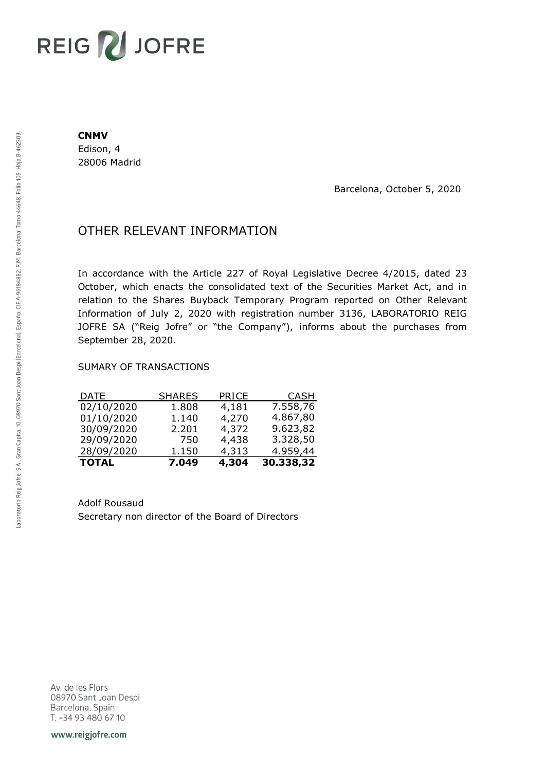# REIG V JOFRE

#### **CNMV**

Edison, 4 28006 Madrid

Barcelona, October 5, 2020

## OTHER RELEVANT INFORMATION

In accordance with the Article 227 of Royal Legislative Decree 4/2015, dated 23 October, which enacts the consolidated text of the Securities Market Act, and in relation to the Shares Buyback Temporary Program reported on Other Relevant Information of July 2, 2020 with registration number 3136, LABORATORIO REIG JOFRE SA ("Reig Jofre" or "the Company"), informs about the purchases from September 28, 2020.

### SUMARY OF TRANSACTIONS

| <b>TOTAL</b> | 7.049         | 4,304 | 30.338,32   |
|--------------|---------------|-------|-------------|
| 28/09/2020   | 1.150         | 4,313 | 4.959,44    |
| 29/09/2020   | 750           | 4,438 | 3.328,50    |
| 30/09/2020   | 2.201         | 4,372 | 9.623,82    |
| 01/10/2020   | 1.140         | 4,270 | 4.867,80    |
| 02/10/2020   | 1.808         | 4,181 | 7.558,76    |
| <u>DATE</u>  | <u>SHARES</u> | PRICE | <u>CASH</u> |

Adolf Rousaud Secretary non director of the Board of Directors

Av. de les Flors 08970 Sant Joan Despi Barcelona, Spain T. +34 93 480 67 10

www.reigjofre.com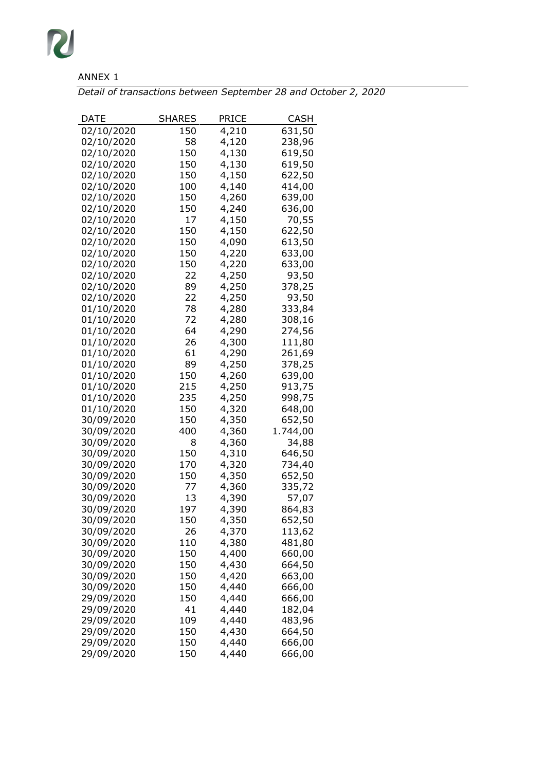

## ANNEX 1

*Detail of transactions between September 28 and October 2, 2020*

| DATE       | <b>SHARES</b> | PRICE | CASH     |
|------------|---------------|-------|----------|
| 02/10/2020 | 150           | 4,210 | 631,50   |
| 02/10/2020 | 58            | 4,120 | 238,96   |
| 02/10/2020 | 150           | 4,130 | 619,50   |
| 02/10/2020 | 150           | 4,130 | 619,50   |
| 02/10/2020 | 150           | 4,150 | 622,50   |
| 02/10/2020 | 100           | 4,140 | 414,00   |
| 02/10/2020 | 150           | 4,260 | 639,00   |
| 02/10/2020 | 150           | 4,240 | 636,00   |
| 02/10/2020 | 17            | 4,150 | 70,55    |
| 02/10/2020 | 150           | 4,150 | 622,50   |
| 02/10/2020 | 150           | 4,090 | 613,50   |
| 02/10/2020 | 150           | 4,220 | 633,00   |
| 02/10/2020 | 150           | 4,220 | 633,00   |
| 02/10/2020 | 22            | 4,250 | 93,50    |
| 02/10/2020 | 89            | 4,250 | 378,25   |
| 02/10/2020 | 22            | 4,250 | 93,50    |
| 01/10/2020 | 78            | 4,280 | 333,84   |
| 01/10/2020 | 72            | 4,280 | 308,16   |
| 01/10/2020 | 64            | 4,290 | 274,56   |
| 01/10/2020 | 26            | 4,300 | 111,80   |
| 01/10/2020 | 61            | 4,290 | 261,69   |
| 01/10/2020 | 89            | 4,250 | 378,25   |
| 01/10/2020 | 150           | 4,260 | 639,00   |
| 01/10/2020 | 215           | 4,250 | 913,75   |
| 01/10/2020 | 235           | 4,250 | 998,75   |
| 01/10/2020 | 150           | 4,320 | 648,00   |
| 30/09/2020 | 150           | 4,350 | 652,50   |
| 30/09/2020 | 400           | 4,360 | 1.744,00 |
| 30/09/2020 | 8             | 4,360 | 34,88    |
| 30/09/2020 | 150           | 4,310 | 646,50   |
| 30/09/2020 | 170           | 4,320 | 734,40   |
| 30/09/2020 | 150           | 4,350 | 652,50   |
| 30/09/2020 | 77            | 4,360 | 335,72   |
| 30/09/2020 | 13            | 4,390 | 57,07    |
| 30/09/2020 | 197           | 4,390 | 864,83   |
| 30/09/2020 | 150           | 4,350 | 652,50   |
| 30/09/2020 | 26            | 4,370 | 113,62   |
| 30/09/2020 | 110           | 4,380 | 481,80   |
| 30/09/2020 | 150           | 4,400 | 660,00   |
| 30/09/2020 | 150           | 4,430 | 664,50   |
| 30/09/2020 | 150           | 4,420 | 663,00   |
| 30/09/2020 | 150           | 4,440 | 666,00   |
| 29/09/2020 | 150           | 4,440 | 666,00   |
| 29/09/2020 | 41            | 4,440 | 182,04   |
| 29/09/2020 | 109           | 4,440 | 483,96   |
| 29/09/2020 | 150           | 4,430 | 664,50   |
| 29/09/2020 | 150           | 4,440 | 666,00   |
| 29/09/2020 | 150           | 4,440 | 666,00   |